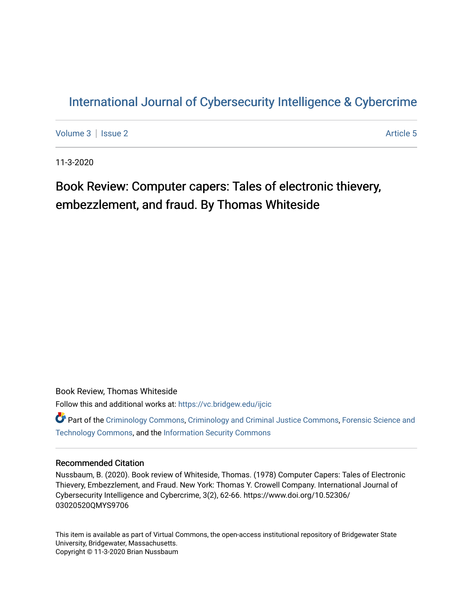### [International Journal of Cybersecurity Intelligence & Cybercrime](https://vc.bridgew.edu/ijcic)

[Volume 3](https://vc.bridgew.edu/ijcic/vol3) | [Issue 2](https://vc.bridgew.edu/ijcic/vol3/iss2) Article 5

11-3-2020

## Book Review: Computer capers: Tales of electronic thievery, embezzlement, and fraud. By Thomas Whiteside

Book Review, Thomas Whiteside Follow this and additional works at: [https://vc.bridgew.edu/ijcic](https://vc.bridgew.edu/ijcic?utm_source=vc.bridgew.edu%2Fijcic%2Fvol3%2Fiss2%2F5&utm_medium=PDF&utm_campaign=PDFCoverPages) 

Part of the [Criminology Commons](https://network.bepress.com/hgg/discipline/417?utm_source=vc.bridgew.edu%2Fijcic%2Fvol3%2Fiss2%2F5&utm_medium=PDF&utm_campaign=PDFCoverPages), [Criminology and Criminal Justice Commons,](https://network.bepress.com/hgg/discipline/367?utm_source=vc.bridgew.edu%2Fijcic%2Fvol3%2Fiss2%2F5&utm_medium=PDF&utm_campaign=PDFCoverPages) [Forensic Science and](https://network.bepress.com/hgg/discipline/1277?utm_source=vc.bridgew.edu%2Fijcic%2Fvol3%2Fiss2%2F5&utm_medium=PDF&utm_campaign=PDFCoverPages)  [Technology Commons,](https://network.bepress.com/hgg/discipline/1277?utm_source=vc.bridgew.edu%2Fijcic%2Fvol3%2Fiss2%2F5&utm_medium=PDF&utm_campaign=PDFCoverPages) and the [Information Security Commons](https://network.bepress.com/hgg/discipline/1247?utm_source=vc.bridgew.edu%2Fijcic%2Fvol3%2Fiss2%2F5&utm_medium=PDF&utm_campaign=PDFCoverPages) 

### Recommended Citation

Nussbaum, B. (2020). Book review of Whiteside, Thomas. (1978) Computer Capers: Tales of Electronic Thievery, Embezzlement, and Fraud. New York: Thomas Y. Crowell Company. International Journal of Cybersecurity Intelligence and Cybercrime, 3(2), 62-66. https://www.doi.org/10.52306/ 03020520QMYS9706

This item is available as part of Virtual Commons, the open-access institutional repository of Bridgewater State University, Bridgewater, Massachusetts. Copyright © 11-3-2020 Brian Nussbaum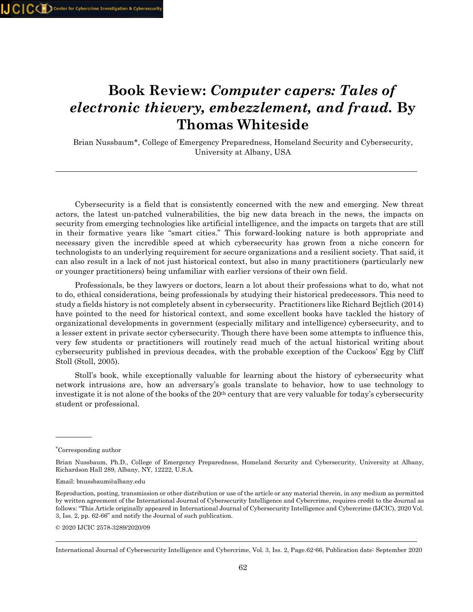# **Book Review:** *Computer capers: Tales of electronic thievery, embezzlement, and fraud.* **By Thomas Whiteside**

Brian Nussbaum\*, College of Emergency Preparedness, Homeland Security and Cybersecurity, University at Albany, USA

 Cybersecurity is a field that is consistently concerned with the new and emerging. New threat actors, the latest un-patched vulnerabilities, the big new data breach in the news, the impacts on security from emerging technologies like artificial intelligence, and the impacts on targets that are still in their formative years like "smart cities." This forward-looking nature is both appropriate and necessary given the incredible speed at which cybersecurity has grown from a niche concern for technologists to an underlying requirement for secure organizations and a resilient society. That said, it can also result in a lack of not just historical context, but also in many practitioners (particularly new or younger practitioners) being unfamiliar with earlier versions of their own field.

 Professionals, be they lawyers or doctors, learn a lot about their professions what to do, what not to do, ethical considerations, being professionals by studying their historical predecessors. This need to study a fields history is not completely absent in cybersecurity. Practitioners like Richard Bejtlich (2014) have pointed to the need for historical context, and some excellent books have tackled the history of organizational developments in government (especially military and intelligence) cybersecurity, and to a lesser extent in private sector cybersecurity. Though there have been some attempts to influence this, very few students or practitioners will routinely read much of the actual historical writing about cybersecurity published in previous decades, with the probable exception of the Cuckoos' Egg by Cliff Stoll (Stoll, 2005).

 Stoll's book, while exceptionally valuable for learning about the history of cybersecurity what network intrusions are, how an adversary's goals translate to behavior, how to use technology to investigate it is not alone of the books of the 20<sup>th</sup> century that are very valuable for today's cybersecurity student or professional.

© 2020 IJCIC 2578-3289/2020/09

<sup>∗</sup> Corresponding author

Brian Nussbaum, Ph.D., College of Emergency Preparedness, Homeland Security and Cybersecurity, University at Albany, Richardson Hall 289, Albany, NY, 12222, U.S.A.

Email: bnussbaum@albany.edu

Reproduction, posting, transmission or other distribution or use of the article or any material therein, in any medium as permitted by written agreement of the International Journal of Cybersecurity Intelligence and Cybercrime, requires credit to the Journal as follows: "This Article originally appeared in International Journal of Cybersecurity Intelligence and Cybercrime (IJCIC), 2020 Vol. 3, Iss. 2, pp. 62-66" and notify the Journal of such publication.

International Journal of Cybersecurity Intelligence and Cybercrime, Vol. 3, Iss. 2, Page.62-66, Publication date: September 2020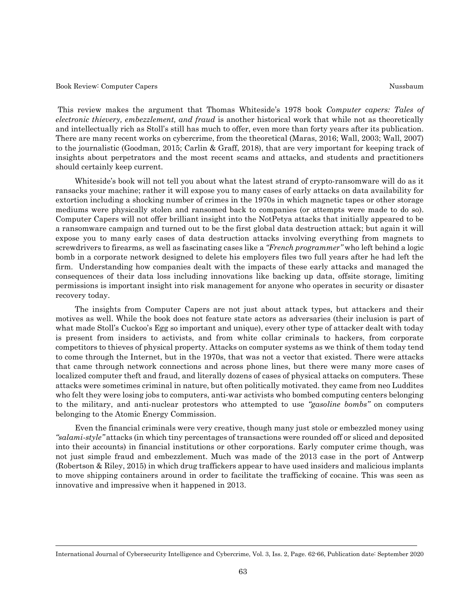#### Book Review: Computer Capers Nussbaum Nussbaum Nussbaum Nussbaum Nussbaum Nussbaum Nussbaum Nussbaum Nussbaum

This review makes the argument that Thomas Whiteside's 1978 book *Computer capers: Tales of electronic thievery, embezzlement, and fraud* is another historical work that while not as theoretically and intellectually rich as Stoll's still has much to offer, even more than forty years after its publication. There are many recent works on cybercrime, from the theoretical (Maras, 2016; Wall, 2003; Wall, 2007) to the journalistic (Goodman, 2015; Carlin & Graff, 2018), that are very important for keeping track of insights about perpetrators and the most recent scams and attacks, and students and practitioners should certainly keep current.

 Whiteside's book will not tell you about what the latest strand of crypto-ransomware will do as it ransacks your machine; rather it will expose you to many cases of early attacks on data availability for extortion including a shocking number of crimes in the 1970s in which magnetic tapes or other storage mediums were physically stolen and ransomed back to companies (or attempts were made to do so). Computer Capers will not offer brilliant insight into the NotPetya attacks that initially appeared to be a ransomware campaign and turned out to be the first global data destruction attack; but again it will expose you to many early cases of data destruction attacks involving everything from magnets to screwdrivers to firearms, as well as fascinating cases like a *"French programmer"* who left behind a logic bomb in a corporate network designed to delete his employers files two full years after he had left the firm. Understanding how companies dealt with the impacts of these early attacks and managed the consequences of their data loss including innovations like backing up data, offsite storage, limiting permissions is important insight into risk management for anyone who operates in security or disaster recovery today.

 The insights from Computer Capers are not just about attack types, but attackers and their motives as well. While the book does not feature state actors as adversaries (their inclusion is part of what made Stoll's Cuckoo's Egg so important and unique), every other type of attacker dealt with today is present from insiders to activists, and from white collar criminals to hackers, from corporate competitors to thieves of physical property. Attacks on computer systems as we think of them today tend to come through the Internet, but in the 1970s, that was not a vector that existed. There were attacks that came through network connections and across phone lines, but there were many more cases of localized computer theft and fraud, and literally dozens of cases of physical attacks on computers. These attacks were sometimes criminal in nature, but often politically motivated. they came from neo Luddites who felt they were losing jobs to computers, anti-war activists who bombed computing centers belonging to the military, and anti-nuclear protestors who attempted to use *"gasoline bombs"* on computers belonging to the Atomic Energy Commission.

 Even the financial criminals were very creative, though many just stole or embezzled money using *"salami-style"* attacks (in which tiny percentages of transactions were rounded off or sliced and deposited into their accounts) in financial institutions or other corporations. Early computer crime though, was not just simple fraud and embezzlement. Much was made of the 2013 case in the port of Antwerp (Robertson & Riley, 2015) in which drug traffickers appear to have used insiders and malicious implants to move shipping containers around in order to facilitate the trafficking of cocaine. This was seen as innovative and impressive when it happened in 2013.

International Journal of Cybersecurity Intelligence and Cybercrime, Vol. 3, Iss. 2, Page. 62-66, Publication date: September 2020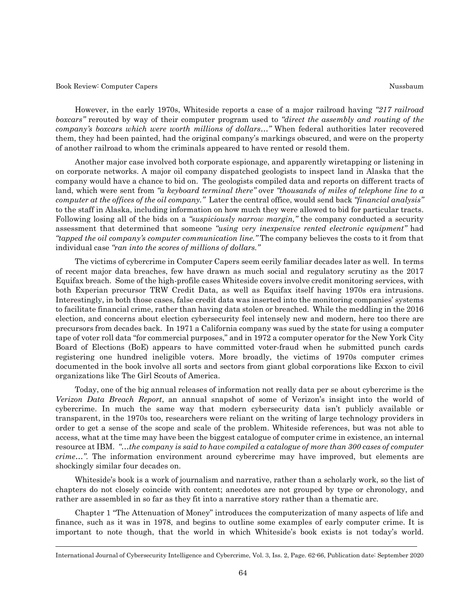Book Review: Computer Capers Nussbaum Nussbaum Nussbaum Nussbaum Nussbaum Nussbaum Nussbaum Nussbaum Nussbaum

 However, in the early 1970s, Whiteside reports a case of a major railroad having *"217 railroad boxcars"* rerouted by way of their computer program used to *"direct the assembly and routing of the company's boxcars which were worth millions of dollars…"* When federal authorities later recovered them, they had been painted, had the original company's markings obscured, and were on the property of another railroad to whom the criminals appeared to have rented or resold them.

 Another major case involved both corporate espionage, and apparently wiretapping or listening in on corporate networks. A major oil company dispatched geologists to inspect land in Alaska that the company would have a chance to bid on. The geologists compiled data and reports on different tracts of land, which were sent from "a keyboard terminal there" over "thousands of miles of telephone line to a *computer at the offices of the oil company."* Later the central office, would send back *"financial analysis"* to the staff in Alaska, including information on how much they were allowed to bid for particular tracts. Following losing all of the bids on a *"suspiciously narrow margin,"* the company conducted a security assessment that determined that someone *"using very inexpensive rented electronic equipment"* had *"tapped the oil company's computer communication line."* The company believes the costs to it from that individual case *"ran into the scores of millions of dollars."*

 The victims of cybercrime in Computer Capers seem eerily familiar decades later as well. In terms of recent major data breaches, few have drawn as much social and regulatory scrutiny as the 2017 Equifax breach. Some of the high-profile cases Whiteside covers involve credit monitoring services, with both Experian precursor TRW Credit Data, as well as Equifax itself having 1970s era intrusions. Interestingly, in both those cases, false credit data was inserted into the monitoring companies' systems to facilitate financial crime, rather than having data stolen or breached. While the meddling in the 2016 election, and concerns about election cybersecurity feel intensely new and modern, here too there are precursors from decades back. In 1971 a California company was sued by the state for using a computer tape of voter roll data "for commercial purposes," and in 1972 a computer operator for the New York City Board of Elections (BoE) appears to have committed voter-fraud when he submitted punch cards registering one hundred ineligible voters. More broadly, the victims of 1970s computer crimes documented in the book involve all sorts and sectors from giant global corporations like Exxon to civil organizations like The Girl Scouts of America.

 Today, one of the big annual releases of information not really data per se about cybercrime is the *Verizon Data Breach Report*, an annual snapshot of some of Verizon's insight into the world of cybercrime. In much the same way that modern cybersecurity data isn't publicly available or transparent, in the 1970s too, researchers were reliant on the writing of large technology providers in order to get a sense of the scope and scale of the problem. Whiteside references, but was not able to access, what at the time may have been the biggest catalogue of computer crime in existence, an internal resource at IBM. *"…the company is said to have compiled a catalogue of more than 300 cases of computer crime…"*. The information environment around cybercrime may have improved, but elements are shockingly similar four decades on.

 Whiteside's book is a work of journalism and narrative, rather than a scholarly work, so the list of chapters do not closely coincide with content; anecdotes are not grouped by type or chronology, and rather are assembled in so far as they fit into a narrative story rather than a thematic arc.

 Chapter 1 "The Attenuation of Money" introduces the computerization of many aspects of life and finance, such as it was in 1978, and begins to outline some examples of early computer crime. It is important to note though, that the world in which Whiteside's book exists is not today's world.

International Journal of Cybersecurity Intelligence and Cybercrime, Vol. 3, Iss. 2, Page. 62-66, Publication date: September 2020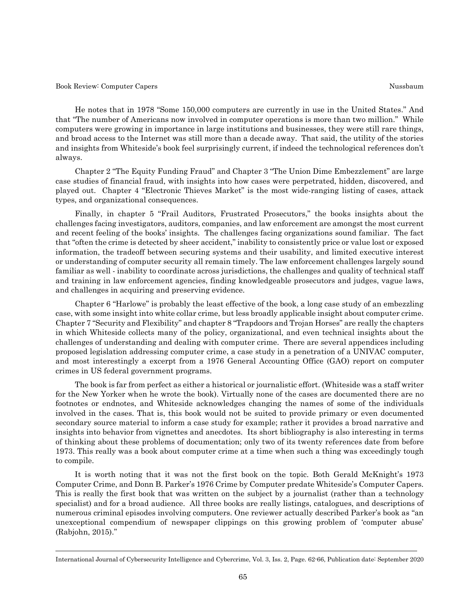#### Book Review: Computer Capers Nussbaum Nussbaum Nussbaum Nussbaum Nussbaum Nussbaum Nussbaum Nussbaum Nussbaum

 He notes that in 1978 "Some 150,000 computers are currently in use in the United States." And that "The number of Americans now involved in computer operations is more than two million." While computers were growing in importance in large institutions and businesses, they were still rare things, and broad access to the Internet was still more than a decade away. That said, the utility of the stories and insights from Whiteside's book feel surprisingly current, if indeed the technological references don't always.

 Chapter 2 "The Equity Funding Fraud" and Chapter 3 "The Union Dime Embezzlement" are large case studies of financial fraud, with insights into how cases were perpetrated, hidden, discovered, and played out. Chapter 4 "Electronic Thieves Market" is the most wide-ranging listing of cases, attack types, and organizational consequences.

 Finally, in chapter 5 "Frail Auditors, Frustrated Prosecutors," the books insights about the challenges facing investigators, auditors, companies, and law enforcement are amongst the most current and recent feeling of the books' insights. The challenges facing organizations sound familiar. The fact that "often the crime is detected by sheer accident," inability to consistently price or value lost or exposed information, the tradeoff between securing systems and their usability, and limited executive interest or understanding of computer security all remain timely. The law enforcement challenges largely sound familiar as well - inability to coordinate across jurisdictions, the challenges and quality of technical staff and training in law enforcement agencies, finding knowledgeable prosecutors and judges, vague laws, and challenges in acquiring and preserving evidence.

 Chapter 6 "Harlowe" is probably the least effective of the book, a long case study of an embezzling case, with some insight into white collar crime, but less broadly applicable insight about computer crime. Chapter 7 "Security and Flexibility" and chapter 8 "Trapdoors and Trojan Horses" are really the chapters in which Whiteside collects many of the policy, organizational, and even technical insights about the challenges of understanding and dealing with computer crime. There are several appendices including proposed legislation addressing computer crime, a case study in a penetration of a UNIVAC computer, and most interestingly a excerpt from a 1976 General Accounting Office (GAO) report on computer crimes in US federal government programs.

 The book is far from perfect as either a historical or journalistic effort. (Whiteside was a staff writer for the New Yorker when he wrote the book). Virtually none of the cases are documented there are no footnotes or endnotes, and Whiteside acknowledges changing the names of some of the individuals involved in the cases. That is, this book would not be suited to provide primary or even documented secondary source material to inform a case study for example; rather it provides a broad narrative and insights into behavior from vignettes and anecdotes. Its short bibliography is also interesting in terms of thinking about these problems of documentation; only two of its twenty references date from before 1973. This really was a book about computer crime at a time when such a thing was exceedingly tough to compile.

 It is worth noting that it was not the first book on the topic. Both Gerald McKnight's 1973 Computer Crime, and Donn B. Parker's 1976 Crime by Computer predate Whiteside's Computer Capers. This is really the first book that was written on the subject by a journalist (rather than a technology specialist) and for a broad audience. All three books are really listings, catalogues, and descriptions of numerous criminal episodes involving computers. One reviewer actually described Parker's book as "an unexceptional compendium of newspaper clippings on this growing problem of 'computer abuse' (Rabjohn, 2015)."

International Journal of Cybersecurity Intelligence and Cybercrime, Vol. 3, Iss. 2, Page. 62-66, Publication date: September 2020